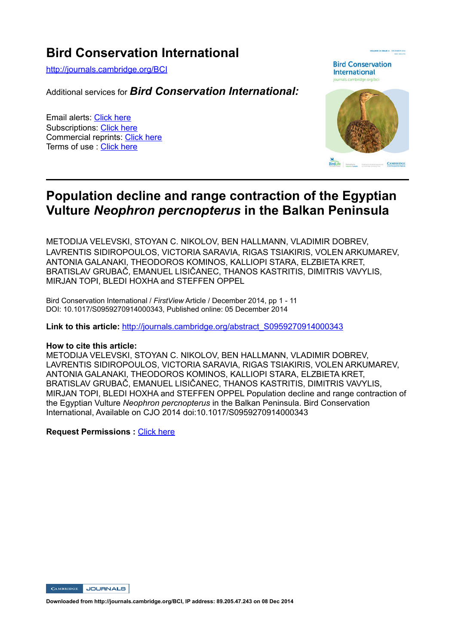# **Bird Conservation International**

http://journals.cambridge.org/BCI

Additional services for *Bird Conservation International:*

Email alerts: Click here Subscriptions: Click here Commercial reprints: Click here Terms of use : Click here



**Bird Conservation** 

## **Population decline and range contraction of the Egyptian Vulture** *Neophron percnopterus* **in the Balkan Peninsula**

METODIJA VELEVSKI, STOYAN C. NIKOLOV, BEN HALLMANN, VLADIMIR DOBREV, LAVRENTIS SIDIROPOULOS, VICTORIA SARAVIA, RIGAS TSIAKIRIS, VOLEN ARKUMAREV, ANTONIA GALANAKI, THEODOROS KOMINOS, KALLIOPI STARA, ELZBIETA KRET, BRATISLAV GRUBAČ, EMANUEL LISIČANEC, THANOS KASTRITIS, DIMITRIS VAVYLIS, MIRJAN TOPI, BLEDI HOXHA and STEFFEN OPPEL

Bird Conservation International / *FirstView* Article / December 2014, pp 1 - 11 DOI: 10.1017/S0959270914000343, Published online: 05 December 2014

**Link to this article:** http://journals.cambridge.org/abstract\_S0959270914000343

#### **How to cite this article:**

METODIJA VELEVSKI, STOYAN C. NIKOLOV, BEN HALLMANN, VLADIMIR DOBREV, LAVRENTIS SIDIROPOULOS, VICTORIA SARAVIA, RIGAS TSIAKIRIS, VOLEN ARKUMAREV, ANTONIA GALANAKI, THEODOROS KOMINOS, KALLIOPI STARA, ELZBIETA KRET, BRATISLAV GRUBAČ, EMANUEL LISIČANEC, THANOS KASTRITIS, DIMITRIS VAVYLIS, MIRJAN TOPI, BLEDI HOXHA and STEFFEN OPPEL Population decline and range contraction of the Egyptian Vulture *Neophron percnopterus* in the Balkan Peninsula. Bird Conservation International, Available on CJO 2014 doi:10.1017/S0959270914000343

**Request Permissions : Click here** 



**Downloaded from http://journals.cambridge.org/BCI, IP address: 89.205.47.243 on 08 Dec 2014**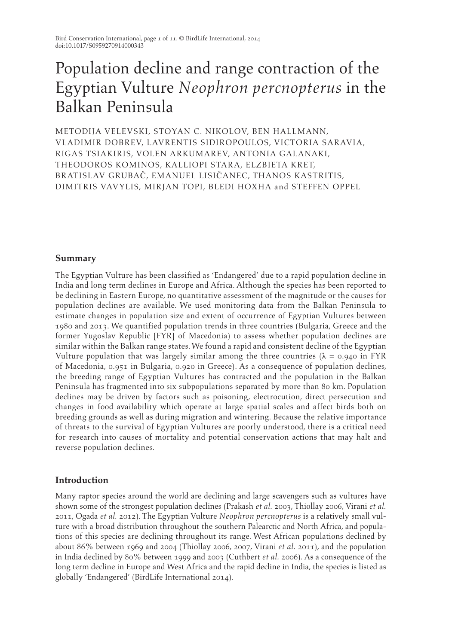# Population decline and range contraction of the Egyptian Vulture *Neophron percnopterus* in the Balkan Peninsula

METODIJA VELEVSKI, STOYAN C. NIKOLOV, BEN HALLMANN, VLADIMIR DOBREV, LAVRENTIS SIDIROPOULOS, VICTORIA SARAVIA, RIGAS TSIAKIRIS, VOLEN ARKUMAREV, ANTONIA GALANAKI, THEODOROS KOMINOS, KALLIOPI STARA, ELZBIETA KRET, BRATISLAV GRUBAČ, EMANUEL LISIČANEC, THANOS KASTRITIS, DIMITRIS VAVYLIS, MIRJAN TOPI, BLEDI HOXHA and STEFFEN OPPEL

## **Summary**

 The Egyptian Vulture has been classified as 'Endangered' due to a rapid population decline in India and long term declines in Europe and Africa. Although the species has been reported to be declining in Eastern Europe, no quantitative assessment of the magnitude or the causes for population declines are available. We used monitoring data from the Balkan Peninsula to estimate changes in population size and extent of occurrence of Egyptian Vultures between 1980 and 2013. We quantified population trends in three countries (Bulgaria, Greece and the former Yugoslav Republic [FYR] of Macedonia) to assess whether population declines are similar within the Balkan range states. We found a rapid and consistent decline of the Egyptian Vulture population that was largely similar among the three countries  $(\lambda = 0.940$  in FYR of Macedonia, 0.951 in Bulgaria, 0.920 in Greece). As a consequence of population declines, the breeding range of Egyptian Vultures has contracted and the population in the Balkan Peninsula has fragmented into six subpopulations separated by more than 80 km. Population declines may be driven by factors such as poisoning, electrocution, direct persecution and changes in food availability which operate at large spatial scales and affect birds both on breeding grounds as well as during migration and wintering. Because the relative importance of threats to the survival of Egyptian Vultures are poorly understood, there is a critical need for research into causes of mortality and potential conservation actions that may halt and reverse population declines.

## **Introduction**

 Many raptor species around the world are declining and large scavengers such as vultures have shown some of the strongest population declines (Prakash *et al.* 2003, Thiollay 2006, Virani *et al.* 2011 , Ogada *et al.* 2012 ). The Egyptian Vulture *Neophron percnopterus* is a relatively small vulture with a broad distribution throughout the southern Palearctic and North Africa, and populations of this species are declining throughout its range. West African populations declined by about 86% between 1969 and 2004 (Thiollay 2006 , 2007 , Virani *et al.* 2011 ), and the population in India declined by 80% between 1999 and 2003 (Cuthbert *et al.* 2006 ). As a consequence of the long term decline in Europe and West Africa and the rapid decline in India, the species is listed as globally 'Endangered' (BirdLife International 2014 ).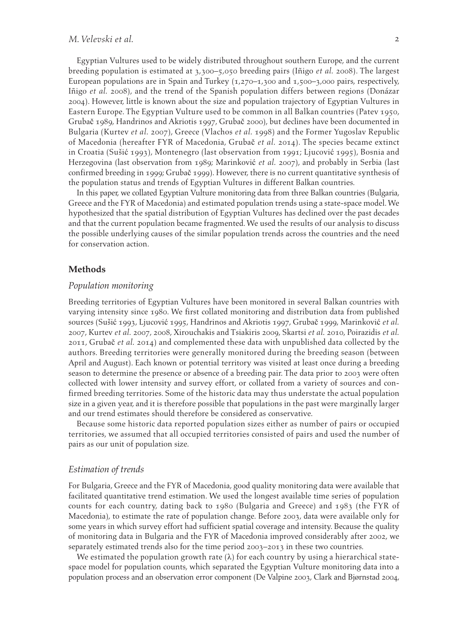Egyptian Vultures used to be widely distributed throughout southern Europe, and the current breeding population is estimated at 3,300–5,050 breeding pairs (Iñigo *et al.* 2008). The largest European populations are in Spain and Turkey  $(1,270-1,300)$  and  $1,500-3,000$  pairs, respectively, Iñigo *et al.* 2008 ), and the trend of the Spanish population differs between regions (Donázar 2004 ). However, little is known about the size and population trajectory of Egyptian Vultures in Eastern Europe. The Egyptian Vulture used to be common in all Balkan countries (Patev 1950, Grubač 1989, Handrinos and Akriotis 1997, Grubač 2000), but declines have been documented in Bulgaria (Kurtev *et al.* 2007 ), Greece (Vlachos *et al.* 1998 ) and the Former Yugoslav Republic of Macedonia (hereafter FYR of Macedonia, Grubač *et al.* 2014). The species became extinct in Croatia (Sušić 1993), Montenegro (last observation from 1991; Ljucović 1995), Bosnia and Herzegovina (last observation from 1989; Marinković *et al.* 2007), and probably in Serbia (last confirmed breeding in 1999; Grubač 1999). However, there is no current quantitative synthesis of the population status and trends of Egyptian Vultures in different Balkan countries.

 In this paper, we collated Egyptian Vulture monitoring data from three Balkan countries (Bulgaria, Greece and the FYR of Macedonia) and estimated population trends using a state-space model. We hypothesized that the spatial distribution of Egyptian Vultures has declined over the past decades and that the current population became fragmented. We used the results of our analysis to discuss the possible underlying causes of the similar population trends across the countries and the need for conservation action.

#### **Methods**

#### *Population monitoring*

 Breeding territories of Egyptian Vultures have been monitored in several Balkan countries with varying intensity since 1980. We first collated monitoring and distribution data from published sources (Sušić 1993, Ljucović 1995, Handrinos and Akriotis 1997, Grubač 1999, Marinković et al. 2007 , Kurtev *et al.* 2007 , 2008 , Xirouchakis and Tsiakiris 2009 , Skartsi *et al.* 2010 , Poirazidis *et al.* 2011 , Gruba č *et al.* 2014 ) and complemented these data with unpublished data collected by the authors. Breeding territories were generally monitored during the breeding season (between April and August). Each known or potential territory was visited at least once during a breeding season to determine the presence or absence of a breeding pair. The data prior to 2003 were often collected with lower intensity and survey effort, or collated from a variety of sources and confirmed breeding territories. Some of the historic data may thus understate the actual population size in a given year, and it is therefore possible that populations in the past were marginally larger and our trend estimates should therefore be considered as conservative.

 Because some historic data reported population sizes either as number of pairs or occupied territories, we assumed that all occupied territories consisted of pairs and used the number of pairs as our unit of population size.

#### *Estimation of trends*

 For Bulgaria, Greece and the FYR of Macedonia, good quality monitoring data were available that facilitated quantitative trend estimation. We used the longest available time series of population counts for each country, dating back to 1980 (Bulgaria and Greece) and 1983 (the FYR of Macedonia), to estimate the rate of population change. Before 2003, data were available only for some years in which survey effort had sufficient spatial coverage and intensity. Because the quality of monitoring data in Bulgaria and the FYR of Macedonia improved considerably after 2002, we separately estimated trends also for the time period 2003–2013 in these two countries.

We estimated the population growth rate  $(\lambda)$  for each country by using a hierarchical statespace model for population counts, which separated the Egyptian Vulture monitoring data into a population process and an observation error component (De Valpine 2003, Clark and Bjørnstad 2004,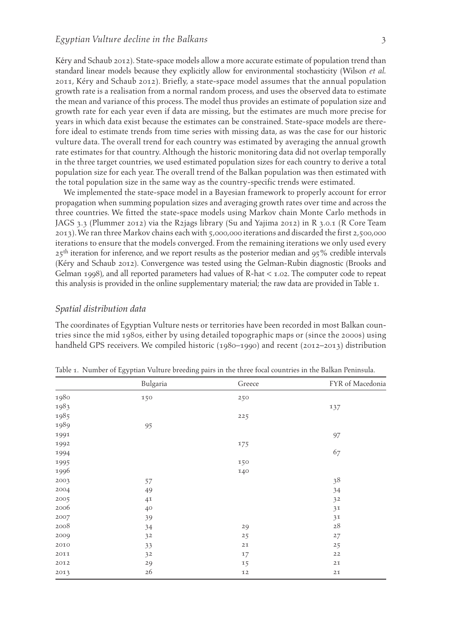Kéry and Schaub 2012). State-space models allow a more accurate estimate of population trend than standard linear models because they explicitly allow for environmental stochasticity (Wilson *et al.* 2011 , Kéry and Schaub 2012 ). Briefly, a state-space model assumes that the annual population growth rate is a realisation from a normal random process, and uses the observed data to estimate the mean and variance of this process. The model thus provides an estimate of population size and growth rate for each year even if data are missing, but the estimates are much more precise for years in which data exist because the estimates can be constrained. State-space models are therefore ideal to estimate trends from time series with missing data, as was the case for our historic vulture data. The overall trend for each country was estimated by averaging the annual growth rate estimates for that country. Although the historic monitoring data did not overlap temporally in the three target countries, we used estimated population sizes for each country to derive a total population size for each year. The overall trend of the Balkan population was then estimated with the total population size in the same way as the country-specific trends were estimated.

 We implemented the state-space model in a Bayesian framework to properly account for error propagation when summing population sizes and averaging growth rates over time and across the three countries. We fitted the state-space models using Markov chain Monte Carlo methods in JAGS 3.3 (Plummer 2012 ) via the R2jags library (Su and Yajima 2012 ) in R 3.0.1 (R Core Team 2013 ). We ran three Markov chains each with 5,000,000 iterations and discarded the first 2,500,000 iterations to ensure that the models converged. From the remaining iterations we only used every  $25<sup>th</sup>$  iteration for inference, and we report results as the posterior median and 95% credible intervals (Kéry and Schaub 2012 ). Convergence was tested using the Gelman-Rubin diagnostic (Brooks and Gelman 1998), and all reported parameters had values of R-hat  $<$  1.02. The computer code to repeat this analysis is provided in the online supplementary material; the raw data are provided in Table 1 .

#### *Spatial distribution data*

 The coordinates of Egyptian Vulture nests or territories have been recorded in most Balkan countries since the mid 1980s, either by using detailed topographic maps or (since the 2000s) using handheld GPS receivers. We compiled historic (1980–1990) and recent (2012–2013) distribution

| Bulgaria       | Greece          | FYR of Macedonia |
|----------------|-----------------|------------------|
| 150            | 250             |                  |
|                |                 | 137              |
|                | 225             |                  |
| 95             |                 |                  |
|                |                 | 97               |
|                | 175             |                  |
|                |                 | 67               |
|                | 150             |                  |
|                | 140             |                  |
| 57             |                 | 38               |
| 49             |                 | 34               |
| 41             |                 | 3 <sup>2</sup>   |
| 40             |                 | 31               |
| 39             |                 | 31               |
| 34             | 29              | $\rm 28$         |
| 3 <sup>2</sup> | 25              | 27               |
| 33             | $2\,\mathrm{1}$ | 25               |
| 3 <sup>2</sup> | 17              | $2\sqrt{2}$      |
| 29             | 15              | $2\,\mathrm{1}$  |
| 26             | $\mathbf{12}$   | $2\,\mathrm{1}$  |
|                |                 |                  |

Table 1. Number of Egyptian Vulture breeding pairs in the three focal countries in the Balkan Peninsula.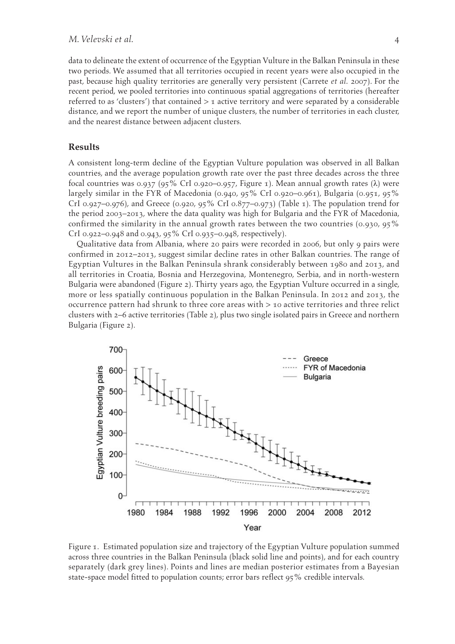data to delineate the extent of occurrence of the Egyptian Vulture in the Balkan Peninsula in these two periods. We assumed that all territories occupied in recent years were also occupied in the past, because high quality territories are generally very persistent (Carrete *et al.* 2007 ). For the recent period, we pooled territories into continuous spatial aggregations of territories (hereafter referred to as 'clusters') that contained  $>$  1 active territory and were separated by a considerable distance, and we report the number of unique clusters, the number of territories in each cluster, and the nearest distance between adjacent clusters.

#### **Results**

 A consistent long-term decline of the Egyptian Vulture population was observed in all Balkan countries, and the average population growth rate over the past three decades across the three focal countries was 0.937 (95% CrI 0.920–0.957, Figure 1). Mean annual growth rates ( $\lambda$ ) were largely similar in the FYR of Macedonia (0.940, 95% CrI 0.920–0.961), Bulgaria (0.951, 95% CrI 0.927–0.976), and Greece (0.920, 95% CrI 0.877–0.973) ( Table 1 ). The population trend for the period 2003–2013, where the data quality was high for Bulgaria and the FYR of Macedonia, confirmed the similarity in the annual growth rates between the two countries (0.930, 95% CrI 0.922–0.948 and 0.943, 95% CrI 0.935–0.948, respectively).

 Qualitative data from Albania, where 20 pairs were recorded in 2006, but only 9 pairs were confirmed in 2012–2013, suggest similar decline rates in other Balkan countries. The range of Egyptian Vultures in the Balkan Peninsula shrank considerably between 1980 and 2013, and all territories in Croatia, Bosnia and Herzegovina, Montenegro, Serbia, and in north-western Bulgaria were abandoned (Figure 2). Thirty years ago, the Egyptian Vulture occurred in a single, more or less spatially continuous population in the Balkan Peninsula. In 2012 and 2013, the occurrence pattern had shrunk to three core areas with > 10 active territories and three relict clusters with 2–6 active territories ( Table 2 ), plus two single isolated pairs in Greece and northern Bulgaria (Figure 2).



 Figure 1. Estimated population size and trajectory of the Egyptian Vulture population summed across three countries in the Balkan Peninsula (black solid line and points), and for each country separately (dark grey lines). Points and lines are median posterior estimates from a Bayesian state-space model fitted to population counts; error bars reflect 95% credible intervals.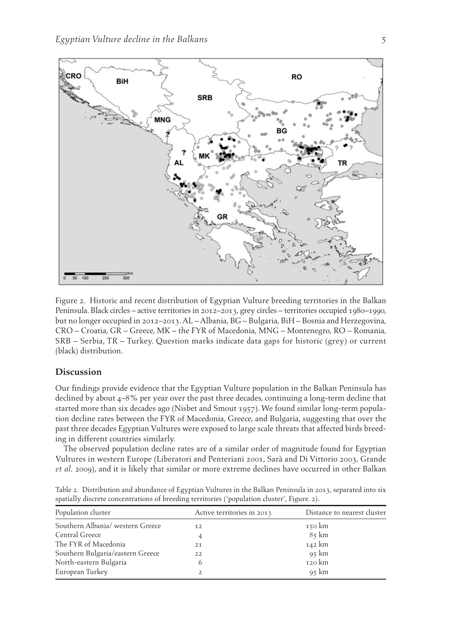

 Figure 2. Historic and recent distribution of Egyptian Vulture breeding territories in the Balkan Peninsula. Black circles – active territories in 2012–2013, grey circles – territories occupied 1980–1990, but no longer occupied in 2012–2013. AL – Albania, BG – Bulgaria, BiH – Bosnia and Herzegovina, CRO – Croatia, GR – Greece, MK – the FYR of Macedonia, MNG – Montenegro, RO – Romania, SRB – Serbia, TR – Turkey. Question marks indicate data gaps for historic (grey) or current (black) distribution.

#### **Discussion**

 Our findings provide evidence that the Egyptian Vulture population in the Balkan Peninsula has declined by about 4–8% per year over the past three decades, continuing a long-term decline that started more than six decades ago (Nisbet and Smout 1957 ). We found similar long-term population decline rates between the FYR of Macedonia, Greece, and Bulgaria, suggesting that over the past three decades Egyptian Vultures were exposed to large scale threats that affected birds breeding in different countries similarly.

 The observed population decline rates are of a similar order of magnitude found for Egyptian Vultures in western Europe (Liberatori and Penteriani 2001 , Sarà and Di Vittorio 2003 , Grande et al. 2009), and it is likely that similar or more extreme declines have occurred in other Balkan

 Table 2. Distribution and abundance of Egyptian Vultures in the Balkan Peninsula in 2013, separated into six spatially discrete concentrations of breeding territories ('population cluster', Figure. 2).

| Population cluster               | Active territories in 2013 | Distance to nearest cluster |
|----------------------------------|----------------------------|-----------------------------|
| Southern Albania/ western Greece | 12                         | 150 km                      |
| Central Greece                   | 4                          | 85 km                       |
| The FYR of Macedonia             | 21                         | 142 km                      |
| Southern Bulgaria/eastern Greece | 22                         | 95 km                       |
| North-eastern Bulgaria           | 6                          | 120 km                      |
| European Turkey                  |                            | 95 km                       |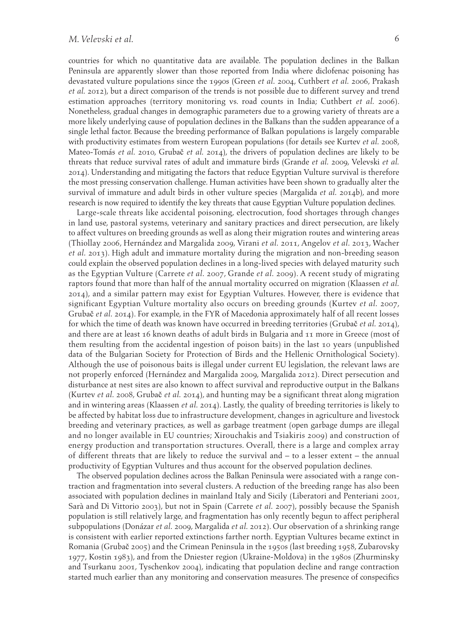countries for which no quantitative data are available. The population declines in the Balkan Peninsula are apparently slower than those reported from India where diclofenac poisoning has devastated vulture populations since the 1990s (Green *et al.* 2004 , Cuthbert *et al.* 2006 , Prakash *et al.* 2012 ), but a direct comparison of the trends is not possible due to different survey and trend estimation approaches (territory monitoring vs. road counts in India; Cuthbert *et al.* 2006). Nonetheless, gradual changes in demographic parameters due to a growing variety of threats are a more likely underlying cause of population declines in the Balkans than the sudden appearance of a single lethal factor. Because the breeding performance of Balkan populations is largely comparable with productivity estimates from western European populations (for details see Kurtev *et al.* 2008, Mateo-Tomás *et al.* 2010, Grubač *et al.* 2014), the drivers of population declines are likely to be threats that reduce survival rates of adult and immature birds (Grande *et al.* 2009 , Velevski *et al.* 2014 ). Understanding and mitigating the factors that reduce Egyptian Vulture survival is therefore the most pressing conservation challenge. Human activities have been shown to gradually alter the survival of immature and adult birds in other vulture species (Margalida *et al.* 2014b), and more research is now required to identify the key threats that cause Egyptian Vulture population declines.

 Large-scale threats like accidental poisoning, electrocution, food shortages through changes in land use, pastoral systems, veterinary and sanitary practices and direct persecution, are likely to affect vultures on breeding grounds as well as along their migration routes and wintering areas (Thiollay 2006, Hernández and Margalida 2009, Virani *et al.* 2011, Angelov *et al.* 2013, Wacher *et al.* 2013 ). High adult and immature mortality during the migration and non-breeding season could explain the observed population declines in a long-lived species with delayed maturity such as the Egyptian Vulture (Carrete *et al.* 2007, Grande *et al.* 2009). A recent study of migrating raptors found that more than half of the annual mortality occurred on migration (Klaassen *et al.* 2014 ), and a similar pattern may exist for Egyptian Vultures. However, there is evidence that significant Egyptian Vulture mortality also occurs on breeding grounds (Kurtev *et al.* 2007, Grubač *et al.* 2014). For example, in the FYR of Macedonia approximately half of all recent losses for which the time of death was known have occurred in breeding territories (Grubač *et al.* 2014), and there are at least 16 known deaths of adult birds in Bulgaria and 11 more in Greece (most of them resulting from the accidental ingestion of poison baits) in the last 10 years (unpublished data of the Bulgarian Society for Protection of Birds and the Hellenic Ornithological Society). Although the use of poisonous baits is illegal under current EU legislation, the relevant laws are not properly enforced (Hernández and Margalida 2009 , Margalida 2012 ). Direct persecution and disturbance at nest sites are also known to affect survival and reproductive output in the Balkans (Kurtev *et al.* 2008, Grubač *et al.* 2014), and hunting may be a significant threat along migration and in wintering areas (Klaassen *et al.* 2014). Lastly, the quality of breeding territories is likely to be affected by habitat loss due to infrastructure development, changes in agriculture and livestock breeding and veterinary practices, as well as garbage treatment (open garbage dumps are illegal and no longer available in EU countries; Xirouchakis and Tsiakiris 2009 ) and construction of energy production and transportation structures. Overall, there is a large and complex array of different threats that are likely to reduce the survival and – to a lesser extent – the annual productivity of Egyptian Vultures and thus account for the observed population declines.

 The observed population declines across the Balkan Peninsula were associated with a range contraction and fragmentation into several clusters. A reduction of the breeding range has also been associated with population declines in mainland Italy and Sicily (Liberatori and Penteriani 2001, Sarà and Di Vittorio 2003 ), but not in Spain (Carrete *et al.* 2007 ), possibly because the Spanish population is still relatively large, and fragmentation has only recently begun to affect peripheral subpopulations (Donázar *et al.* 2009, Margalida *et al.* 2012). Our observation of a shrinking range is consistent with earlier reported extinctions farther north. Egyptian Vultures became extinct in Romania (Grubač 2005) and the Crimean Peninsula in the 1950s (last breeding 1958, Zubarovsky 1977 , Kostin 1983 ), and from the Dniester region (Ukraine-Moldova) in the 1980s (Zhurminsky and Tsurkanu 2001, Tyschenkov 2004), indicating that population decline and range contraction started much earlier than any monitoring and conservation measures. The presence of conspecifics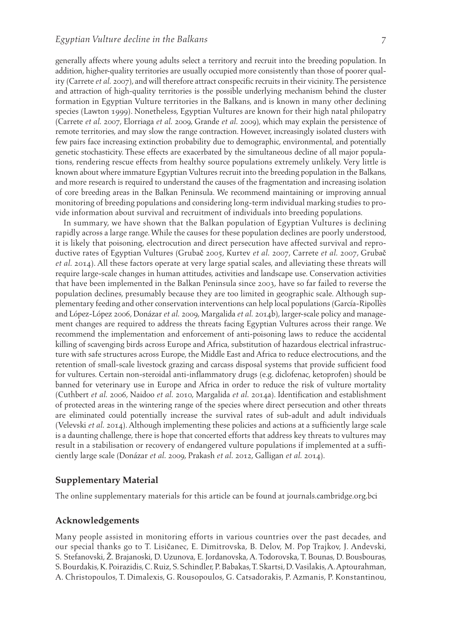generally affects where young adults select a territory and recruit into the breeding population. In addition, higher-quality territories are usually occupied more consistently than those of poorer quality (Carrete *et al.* 2007 ), and will therefore attract conspecific recruits in their vicinity. The persistence and attraction of high-quality territories is the possible underlying mechanism behind the cluster formation in Egyptian Vulture territories in the Balkans, and is known in many other declining species (Lawton 1999). Nonetheless, Egyptian Vultures are known for their high natal philopatry (Carrete *et al.* 2007, Elorriaga *et al.* 2009, Grande *et al.* 2009), which may explain the persistence of remote territories, and may slow the range contraction. However, increasingly isolated clusters with few pairs face increasing extinction probability due to demographic, environmental, and potentially genetic stochasticity. These effects are exacerbated by the simultaneous decline of all major populations, rendering rescue effects from healthy source populations extremely unlikely. Very little is known about where immature Egyptian Vultures recruit into the breeding population in the Balkans, and more research is required to understand the causes of the fragmentation and increasing isolation of core breeding areas in the Balkan Peninsula. We recommend maintaining or improving annual monitoring of breeding populations and considering long-term individual marking studies to provide information about survival and recruitment of individuals into breeding populations.

 In summary, we have shown that the Balkan population of Egyptian Vultures is declining rapidly across a large range. While the causes for these population declines are poorly understood, it is likely that poisoning, electrocution and direct persecution have affected survival and reproductive rates of Egyptian Vultures (Grubač 2005, Kurtev *et al.* 2007, Carrete *et al.* 2007, Grubač *et al.* 2014 ). All these factors operate at very large spatial scales, and alleviating these threats will require large-scale changes in human attitudes, activities and landscape use. Conservation activities that have been implemented in the Balkan Peninsula since 2003, have so far failed to reverse the population declines, presumably because they are too limited in geographic scale. Although supplementary feeding and other conservation interventions can help local populations (García-Ripollès and López-López 2006, Donázar et al. 2009, Margalida et al. 2014b), larger-scale policy and management changes are required to address the threats facing Egyptian Vultures across their range. We recommend the implementation and enforcement of anti-poisoning laws to reduce the accidental killing of scavenging birds across Europe and Africa, substitution of hazardous electrical infrastructure with safe structures across Europe, the Middle East and Africa to reduce electrocutions, and the retention of small-scale livestock grazing and carcass disposal systems that provide sufficient food for vultures. Certain non-steroidal anti-inflammatory drugs (e.g. diclofenac, ketoprofen) should be banned for veterinary use in Europe and Africa in order to reduce the risk of vulture mortality (Cuthbert *et al.* 2006 , Naidoo *et al.* 2010 , Margalida *et al.* 2014a ). Identification and establishment of protected areas in the wintering range of the species where direct persecution and other threats are eliminated could potentially increase the survival rates of sub-adult and adult individuals (Velevski *et al.* 2014). Although implementing these policies and actions at a sufficiently large scale is a daunting challenge, there is hope that concerted efforts that address key threats to vultures may result in a stabilisation or recovery of endangered vulture populations if implemented at a sufficiently large scale (Donázar *et al.* 2009, Prakash *et al.* 2012, Galligan *et al.* 2014).

#### **Supplementary Material**

The online supplementary materials for this article can be found at journals.cambridge.org.bci

#### **Acknowledgements**

 Many people assisted in monitoring efforts in various countries over the past decades, and our special thanks go to T. Lisičanec, E. Dimitrovska, B. Delov, M. Pop Trajkov, J. Andevski, S. Stefanovski, Ž. Brajanoski, D. Uzunova, E. Jordanovska, A. Todorovska, T. Bounas, D. Bousbouras, S. Bourdakis, K. Poirazidis, C. Ruiz, S. Schindler, P. Babakas, T. Skartsi, D. Vasilakis, A. Aptourahman, A. Christopoulos, T. Dimalexis, G. Rousopoulos, G. Catsadorakis, P. Azmanis, P. Konstantinou,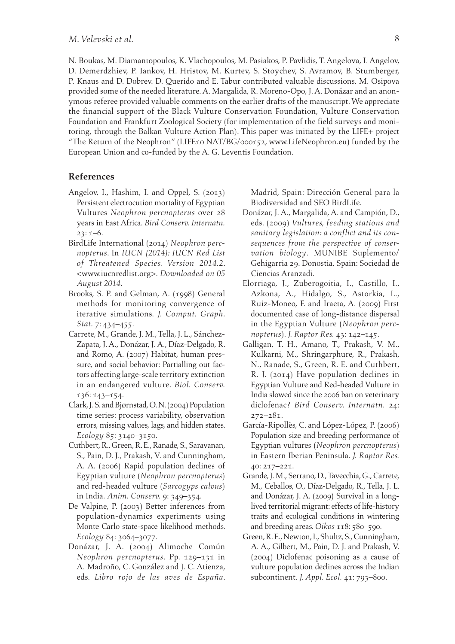N. Boukas, M. Diamantopoulos, K. Vlachopoulos, M. Pasiakos, P. Pavlidis, T. Angelova, I. Angelov, D. Demerdzhiev, P. Iankov, H. Hristov, M. Kurtev, S. Stoychev, S. Avramov, B. Stumberger, P. Knaus and D. Dobrev. D. Querido and E. Tabur contributed valuable discussions. M. Osipova provided some of the needed literature. A. Margalida, R. Moreno-Opo, J. A. Donázar and an anonymous referee provided valuable comments on the earlier drafts of the manuscript. We appreciate the financial support of the Black Vulture Conservation Foundation, Vulture Conservation Foundation and Frankfurt Zoological Society (for implementation of the field surveys and monitoring, through the Balkan Vulture Action Plan). This paper was initiated by the LIFE+ project "The Return of the Neophron" (LIFE10 NAT/BG/000152, www.LifeNeophron.eu ) funded by the European Union and co-funded by the A. G. Leventis Foundation.

#### **References**

- Angelov, I., Hashim, I. and Oppel, S.  $(2013)$  Persistent electrocution mortality of Egyptian Vultures *Neophron percnopterus* over 28 years in East Africa . *Bird Conserv. Internatn.*  $23: 1 - 6.$
- BirdLife International ( 2014 ) *Neophron percnopterus* . In *IUCN (2014): IUCN Red List of Threatened Species. Version 2014.2* . < www.iucnredlist.org >. *Downloaded on 05 August 2014* .
- Brooks, S. P. and Gelman, A. (1998) General methods for monitoring convergence of iterative simulations . *J. Comput. Graph. Stat.* 7: 434-455.
- Carrete, M., Grande, J. M., Tella, J. L., Sánchez-Zapata, J. A., Donázar, J. A., Díaz-Delgado, R. and Romo, A. (2007) Habitat, human pressure, and social behavior: Partialling out factors affecting large-scale territory extinction in an endangered vulture. *Biol. Conserv*. 136: 143-154.
- Clark, J. S. and Bjørnstad, O. N. (2004) Population time series: process variability, observation errors, missing values, lags, and hidden states . *Ecology* 85: 3140-3150.
- Cuthbert, R., Green, R. E., Ranade, S., Saravanan, S., Pain, D. J., Prakash, V. and Cunningham, A. A. (2006) Rapid population declines of Egyptian vulture ( *Neophron percnopterus* ) and red-headed vulture ( *Sarcogyps calvus* ) in India. *Anim. Conserv.* 9: 349-354.
- De Valpine, P. (2003) Better inferences from population-dynamics experiments using Monte Carlo state-space likelihood methods. *Ecology* 84: 3064-3077.
- Donázar, J. A. (2004) Alimoche Común *Neophron percnopterus*. Pp. 129-131 in A. Madroño, C. González and J. C. Atienza, eds. *Libro rojo de las aves de España* .

Madrid, Spain: Dirección General para la Biodiversidad and SEO BirdLife.

- Donázar, J. A., Margalida, A. and Campión, D., eds. ( 2009 ) *Vultures, feeding stations and sanitary legislation: a conflict and its consequences from the perspective of conservation biology* . MUNIBE Suplemento/ Gehigarria 29. Donostia, Spain: Sociedad de Ciencias Aranzadi.
- Elorriaga, J., Zuberogoitia, I., Castillo, I., Azkona, A., Hidalgo, S., Astorkia, L., Ruiz-Moneo, F. and Iraeta, A. (2009) First documented case of long-distance dispersal in the Egyptian Vulture ( *Neophron percnopterus* ) . *J. Raptor Res.* 43 : 142 – 145 .
- Galligan, T. H., Amano, T., Prakash, V. M., Kulkarni, M., Shringarphure, R., Prakash, N., Ranade, S., Green, R. E. and Cuthbert, R. J. (2014) Have population declines in Egyptian Vulture and Red-headed Vulture in India slowed since the 2006 ban on veterinary diclofenac? *Bird Conserv. Internatn.* 24 :  $272 - 281$ .
- García-Ripollès, C. and López-López, P. (2006) Population size and breeding performance of Egyptian vultures ( *Neophron percnopterus* ) in Eastern Iberian Peninsula . *J. Raptor Res.* 40: 217-221.
- Grande, J. M., Serrano, D., Tavecchia, G., Carrete, M., Ceballos, O., Díaz-Delgado, R., Tella, J. L. and Donázar, J. A. (2009) Survival in a longlived territorial migrant: effects of life-history traits and ecological conditions in wintering and breeding areas. Oikos 118: 580-590.
- Green, R. E., Newton, I., Shultz, S., Cunningham, A. A., Gilbert, M., Pain, D. J. and Prakash, V. (2004) Diclofenac poisoning as a cause of vulture population declines across the Indian subcontinent. *J. Appl. Ecol.* 41: 793-800.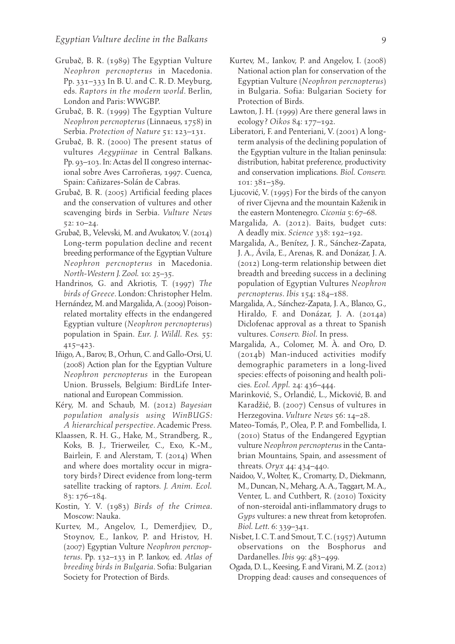- Grubač, B. R. (1989) The Egyptian Vulture *Neophron percnopterus* in Macedonia . Pp.  $331 - 333$  In B. U. and C. R. D. Meyburg, eds. *Raptors in the modern world*. Berlin, London and Paris: WWGBP.
- Grubač, B. R. (1999) The Egyptian Vulture *Neophron percnopterus* (Linnaeus, 1758) in Serbia. *Protection of Nature* 51: 123-131.
- Grubač, B. R. (2000) The present status of vultures *Aegypiinae* in Central Balkans. Pp. 93–103. In: Actas del II congreso internacional sobre Aves Carroñeras, 1997. Cuenca, Spain: Cañizares-Solán de Cabras.
- Grubač, B. R. (2005) Artificial feeding places and the conservation of vultures and other scavenging birds in Serbia . *Vulture News*  $52:10 - 24.$
- Grubač, B., Velevski, M. and Avukatov, V. (2014) Long-term population decline and recent breeding performance of the Egyptian Vulture *Neophron percnopterus* in Macedonia . *North-Western J. Zool.* 10: 25-35.
- Handrinos, G. and Akriotis, T. (1997) *The* birds of Greece. London: Christopher Helm.
- Hernández, M. and Margalida, A. (2009) Poisonrelated mortality effects in the endangered Egyptian vulture ( *Neophron percnopterus* ) population in Spain. *Eur. J. Wildl. Res.* 55:  $415 - 423$ .
- Iñigo, A., Barov, B., Orhun, C. and Gallo-Orsi, U. ( 2008 ) Action plan for the Egyptian Vulture *Neophron percnopterus* in the European Union. Brussels, Belgium: BirdLife International and European Commission .
- Kéry, M. and Schaub, M. (2012) *Bayesian population analysis using WinBUGS: A hierarchical perspective* . Academic Press .
- Klaassen, R. H. G., Hake, M., Strandberg, R., Koks, B. J., Trierweiler, C., Exo, K.-M., Bairlein, F. and Alerstam, T. (2014) When and where does mortality occur in migratory birds? Direct evidence from long-term satellite tracking of raptors . *J. Anim. Ecol.*  $83:176 - 184.$
- Kostin, Y. V. (1983) *Birds of the Crimea*. Moscow: Nauka.
- Kurtev, M., Angelov, I., Demerdjiev, D., Stoynov, E., Iankov, P. and Hristov, H. ( 2007 ) Egyptian Vulture *Neophron percnopterus*. Pp. 132–133 in P. Iankov, ed. Atlas of *breeding birds in Bulgaria* . Sofia : Bulgarian Society for Protection of Birds.
- Kurtev, M., Iankov, P. and Angelov, I. (2008) National action plan for conservation of the Egyptian Vulture ( *Neophron percnopterus* ) in Bulgaria. Sofia: Bulgarian Society for Protection of Birds.
- Lawton, J. H. (1999) Are there general laws in ecology? *Oikos* 84: 177-192.
- Liberatori, F. and Penteriani, V. (2001) A longterm analysis of the declining population of the Egyptian vulture in the Italian peninsula: distribution, habitat preference, productivity and conservation implications . *Biol. Conserv.* 101: 381-389.
- Ljucović, V.  $(1995)$  For the birds of the canyon of river Cijevna and the mountain Kaženik in the eastern Montenegro. *Ciconia* 5: 67-68.
- Margalida, A. (2012). Baits, budget cuts: A deadly mix. Science 338: 192-192.
- Margalida, A., Benítez, J. R., Sánchez-Zapata, J. A., Ávila, E., Arenas, R. and Donázar, J. A. ( 2012 ) Long-term relationship between diet breadth and breeding success in a declining population of Egyptian Vultures *Neophron percnopterus* . *Ibis* 154 : 184 – 188 .
- Margalida, A., Sánchez-Zapata, J. A., Blanco, G., Hiraldo, F. and Donázar, J. A. (2014a) Diclofenac approval as a threat to Spanish vultures . *Conserv. Biol.* In press.
- Margalida, A., Colomer, M. À. and Oro, D.  $(2014b)$  Man-induced activities modify demographic parameters in a long-lived species: effects of poisoning and health policies. *Ecol. Appl.* 24: 436-444.
- Marinković, S., Orlandić, L., Micković, B. and Karadžić, B. (2007) Census of vultures in Herzegovina. *Vulture News* 56: 14-28.
- Mateo-Tomás, P., Olea, P. P. and Fombellida, I. ( 2010 ) Status of the Endangered Egyptian vulture *Neophron percnopterus* in the Cantabrian Mountains, Spain, and assessment of threats. *Oryx* 44: 434-440.
- Naidoo, V., Wolter, K., Cromarty, D., Diekmann, M., Duncan, N., Meharg, A. A., Taggart, M. A., Venter, L. and Cuthbert, R. (2010) Toxicity of non-steroidal anti-inflammatory drugs to Gyps vultures: a new threat from ketoprofen. *Biol. Lett.* 6: 339-341.
- Nisbet, I. C. T. and Smout, T. C. (1957) Autumn observations on the Bosphorus and Dardanelles. *Ibis* 99: 483-499.
- Ogada, D. L., Keesing, F. and Virani, M. Z. (2012) Dropping dead: causes and consequences of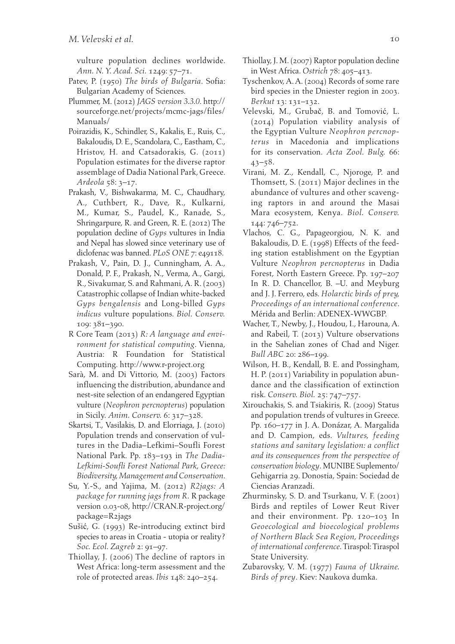vulture population declines worldwide. *Ann. N. Y. Acad. Sci.* 1249: 57-71.

- Patey, P. (1950) *The birds of Bulgaria*, Sofia: Bulgarian Academy of Sciences .
- Plummer , M . ( 2012 ) *JAGS version 3.3.0* . http:// sourceforge.net/projects/mcmc-jags/files/ Manuals/
- Poirazidis, K., Schindler, S., Kakalis, E., Ruis, C., Bakaloudis, D. E., Scandolara, C., Eastham, C., Hristov, H. and Catsadorakis, G. (2011) Population estimates for the diverse raptor assemblage of Dadia National Park, Greece . Ardeola 58: 3-17.
- Prakash, V., Bishwakarma, M. C., Chaudhary, A., Cuthbert, R., Dave, R., Kulkarni, M., Kumar, S., Paudel, K., Ranade, S., Shringarpure, R. and Green, R. E. (2012) The population decline of *Gyps* vultures in India and Nepal has slowed since veterinary use of diclofenac was banned. *PLoS ONE* 7: e49118.
- Prakash, V., Pain, D. J., Cunningham, A. A., Donald, P. F., Prakash, N., Verma, A., Gargi, R., Sivakumar, S. and Rahmani, A. R. (2003) Catastrophic collapse of Indian white-backed *Gyps bengalensis* and Long-billed *Gyps indicus* vulture populations . *Biol. Conserv.* 109: 381-390.
- R Core Team (2013) R: A language and envi*ronment for statistical computing*. Vienna, Austria : R Foundation for Statistical Computing . http://www.r-project.org
- Sarà, M. and Di Vittorio, M. (2003) Factors influencing the distribution, abundance and nest-site selection of an endangered Egyptian vulture ( *Neophron percnopterus* ) population in Sicily. *Anim. Conserv.* 6: 317-328.
- Skartsi, T., Vasilakis, D. and Elorriaga, J. (2010) Population trends and conservation of vultures in the Dadia–Lefkimi–Soufli Forest National Park. Pp. 183-193 in The Dadia-*Lefkimi-Soufli Forest National Park, Greece: Biodiversity, Management and Conservation* .
- Su, Y.-S., and Yajima, M. (2012) *R2jags: A package for running jags from R.* R package version 0.03-08 , http://CRAN.R-project.org/ package=R2jags
- Sušić, G. (1993) Re-introducing extinct bird species to areas in Croatia - utopia or reality? *Soc. Ecol. Zagreb* 2: 91–97.
- Thiollay, J. (2006) The decline of raptors in West Africa: long-term assessment and the role of protected areas. *Ibis* 148: 240-254.
- Thiollay, J. M. (2007) Raptor population decline in West Africa. *Ostrich* 78: 405-413.
- Tyschenkov, A. A. (2004) Records of some rare bird species in the Dniester region in 2003. Berkut 13: 131-132.
- Velevski, M., Grubač, B. and Tomović, L. ( 2014 ) Population viability analysis of the Egyptian Vulture *Neophron percnopterus* in Macedonia and implications for its conservation. Acta Zool. Bulg. 66:  $43 - 58$ .
- Virani, M. Z., Kendall, C., Njoroge, P. and Thomsett, S. (2011) Major declines in the abundance of vultures and other scavenging raptors in and around the Masai Mara ecosystem, Kenya . *Biol. Conserv.* 144: 746-752.
- Vlachos, C. G., Papageorgiou, N. K. and Bakaloudis, D. E. (1998) Effects of the feeding station establishment on the Egyptian Vulture *Neophron percnopterus* in Dadia Forest, North Eastern Greece. Pp. 197-207 In R. D. Chancellor, B. -U. and Meyburg and J. J. Ferrero , eds. *Holarctic birds of prey, Proceedings of an international conference* . Mérida and Berlin: ADENEX-WWGBP.
- Wacher, T., Newby, J., Houdou, I., Harouna, A. and Rabeil, T.  $(2013)$  Vulture observations in the Sahelian zones of Chad and Niger. *Bull ABC* 20: 286-199.
- Wilson, H. B., Kendall, B. E. and Possingham, H. P. (2011) Variability in population abundance and the classification of extinction risk. Conserv. Biol. 25: 747-757.
- Xirouchakis, S. and Tsiakiris, R. (2009) Status and population trends of vultures in Greece . Pp. 160-177 in J. A. Donázar, A. Margalida and D. Campion, eds. *Vultures*, *feeding stations and sanitary legislation: a conflict and its consequences from the perspective of conservation biology* . MUNIBE Suplemento/ Gehigarria 29 . Donostia, Spain : Sociedad de Ciencias Aranzadi.
- Zhurminsky, S. D. and Tsurkanu, V. F. (2001) Birds and reptiles of Lower Reut River and their environment. Pp. 120-103 In *Geoecological and bioecological problems of Northern Black Sea Region, Proceedings of international conference* . Tiraspol : Tiraspol State University.
- Zubarovsky, V. M. (1977) *Fauna of Ukraine*. *Birds of prey.* Kiev: Naukova dumka.